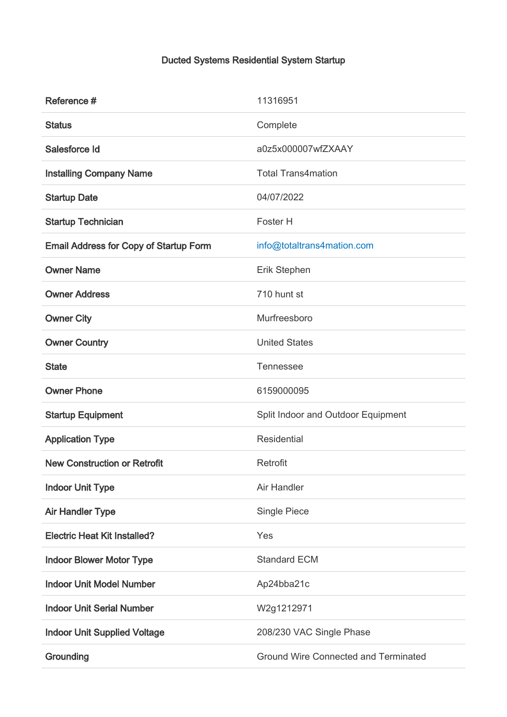## Ducted Systems Residential System Startup

| Reference #                                   | 11316951                             |
|-----------------------------------------------|--------------------------------------|
| <b>Status</b>                                 | Complete                             |
| Salesforce Id                                 | a0z5x000007wfZXAAY                   |
| <b>Installing Company Name</b>                | <b>Total Trans4mation</b>            |
| <b>Startup Date</b>                           | 04/07/2022                           |
| <b>Startup Technician</b>                     | Foster H                             |
| <b>Email Address for Copy of Startup Form</b> | info@totaltrans4mation.com           |
| <b>Owner Name</b>                             | Erik Stephen                         |
| <b>Owner Address</b>                          | 710 hunt st                          |
| <b>Owner City</b>                             | Murfreesboro                         |
| <b>Owner Country</b>                          | <b>United States</b>                 |
| <b>State</b>                                  | <b>Tennessee</b>                     |
| <b>Owner Phone</b>                            | 6159000095                           |
| <b>Startup Equipment</b>                      | Split Indoor and Outdoor Equipment   |
| <b>Application Type</b>                       | <b>Residential</b>                   |
| <b>New Construction or Retrofit</b>           | Retrofit                             |
| <b>Indoor Unit Type</b>                       | Air Handler                          |
| <b>Air Handler Type</b>                       | <b>Single Piece</b>                  |
| <b>Electric Heat Kit Installed?</b>           | Yes                                  |
| <b>Indoor Blower Motor Type</b>               | <b>Standard ECM</b>                  |
| <b>Indoor Unit Model Number</b>               | Ap24bba21c                           |
| <b>Indoor Unit Serial Number</b>              | W2g1212971                           |
| <b>Indoor Unit Supplied Voltage</b>           | 208/230 VAC Single Phase             |
| Grounding                                     | Ground Wire Connected and Terminated |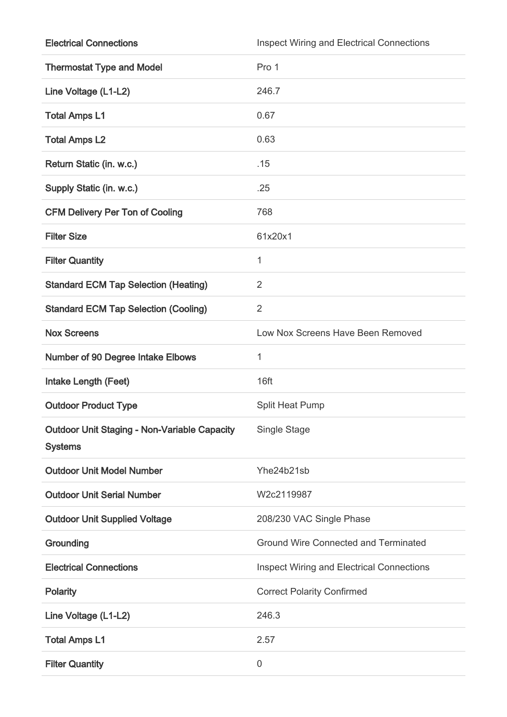| <b>Electrical Connections</b>                                         | <b>Inspect Wiring and Electrical Connections</b> |
|-----------------------------------------------------------------------|--------------------------------------------------|
| <b>Thermostat Type and Model</b>                                      | Pro 1                                            |
| Line Voltage (L1-L2)                                                  | 246.7                                            |
| <b>Total Amps L1</b>                                                  | 0.67                                             |
| <b>Total Amps L2</b>                                                  | 0.63                                             |
| Return Static (in. w.c.)                                              | .15                                              |
| Supply Static (in. w.c.)                                              | .25                                              |
| <b>CFM Delivery Per Ton of Cooling</b>                                | 768                                              |
| <b>Filter Size</b>                                                    | 61x20x1                                          |
| <b>Filter Quantity</b>                                                | 1                                                |
| <b>Standard ECM Tap Selection (Heating)</b>                           | 2                                                |
| <b>Standard ECM Tap Selection (Cooling)</b>                           | $\overline{2}$                                   |
| <b>Nox Screens</b>                                                    | Low Nox Screens Have Been Removed                |
| Number of 90 Degree Intake Elbows                                     | $\mathbf 1$                                      |
| Intake Length (Feet)                                                  | 16ft                                             |
| <b>Outdoor Product Type</b>                                           | <b>Split Heat Pump</b>                           |
| <b>Outdoor Unit Staging - Non-Variable Capacity</b><br><b>Systems</b> | Single Stage                                     |
| <b>Outdoor Unit Model Number</b>                                      | Yhe24b21sb                                       |
| <b>Outdoor Unit Serial Number</b>                                     | W2c2119987                                       |
| <b>Outdoor Unit Supplied Voltage</b>                                  | 208/230 VAC Single Phase                         |
| Grounding                                                             | <b>Ground Wire Connected and Terminated</b>      |
| <b>Electrical Connections</b>                                         | <b>Inspect Wiring and Electrical Connections</b> |
| <b>Polarity</b>                                                       | <b>Correct Polarity Confirmed</b>                |
| Line Voltage (L1-L2)                                                  | 246.3                                            |
| <b>Total Amps L1</b>                                                  | 2.57                                             |
| <b>Filter Quantity</b>                                                | 0                                                |

 $\overline{\phantom{a}}$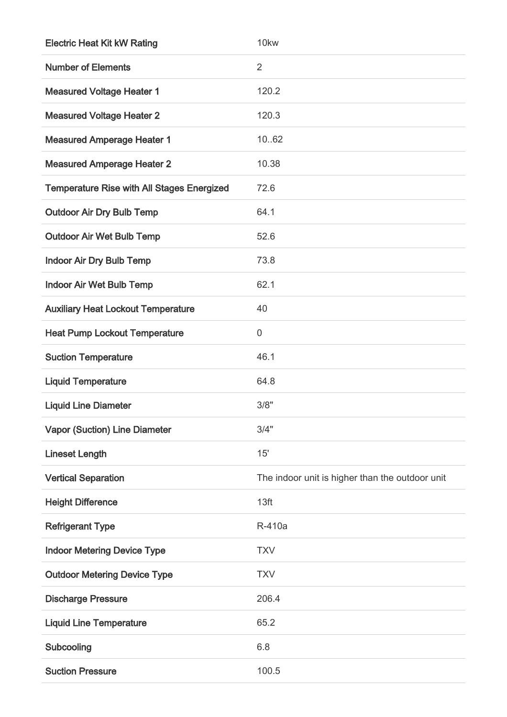| <b>Electric Heat Kit kW Rating</b>                | 10kw                                            |
|---------------------------------------------------|-------------------------------------------------|
| <b>Number of Elements</b>                         | 2                                               |
| <b>Measured Voltage Heater 1</b>                  | 120.2                                           |
| <b>Measured Voltage Heater 2</b>                  | 120.3                                           |
| <b>Measured Amperage Heater 1</b>                 | 10.62                                           |
| <b>Measured Amperage Heater 2</b>                 | 10.38                                           |
| <b>Temperature Rise with All Stages Energized</b> | 72.6                                            |
| <b>Outdoor Air Dry Bulb Temp</b>                  | 64.1                                            |
| <b>Outdoor Air Wet Bulb Temp</b>                  | 52.6                                            |
| <b>Indoor Air Dry Bulb Temp</b>                   | 73.8                                            |
| <b>Indoor Air Wet Bulb Temp</b>                   | 62.1                                            |
| <b>Auxiliary Heat Lockout Temperature</b>         | 40                                              |
| <b>Heat Pump Lockout Temperature</b>              | $\overline{0}$                                  |
| <b>Suction Temperature</b>                        | 46.1                                            |
| <b>Liquid Temperature</b>                         | 64.8                                            |
| <b>Liquid Line Diameter</b>                       | 3/8"                                            |
| <b>Vapor (Suction) Line Diameter</b>              | 3/4"                                            |
| <b>Lineset Length</b>                             | 15'                                             |
| <b>Vertical Separation</b>                        | The indoor unit is higher than the outdoor unit |
| <b>Height Difference</b>                          | 13 <sub>ft</sub>                                |
| <b>Refrigerant Type</b>                           | R-410a                                          |
| <b>Indoor Metering Device Type</b>                | <b>TXV</b>                                      |
| <b>Outdoor Metering Device Type</b>               | <b>TXV</b>                                      |
| <b>Discharge Pressure</b>                         | 206.4                                           |
| <b>Liquid Line Temperature</b>                    | 65.2                                            |
| Subcooling                                        | 6.8                                             |
| <b>Suction Pressure</b>                           | 100.5                                           |